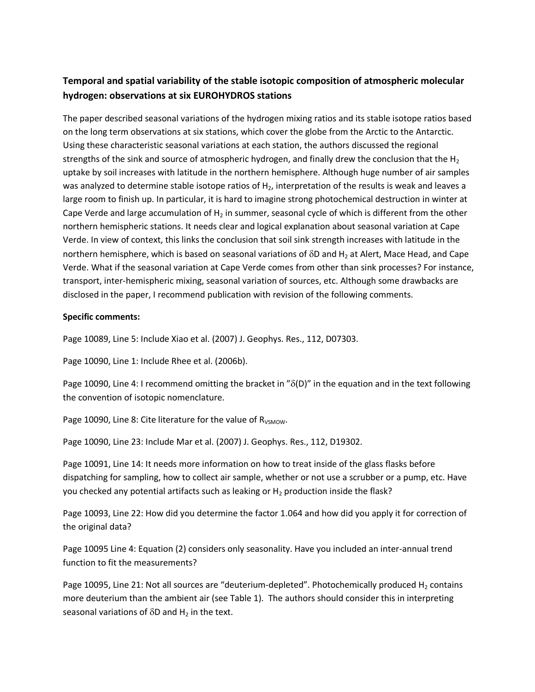## **Temporal and spatial variability of the stable isotopic composition of atmospheric molecular hydrogen: observations at six EUROHYDROS stations**

The paper described seasonal variations of the hydrogen mixing ratios and its stable isotope ratios based on the long term observations at six stations, which cover the globe from the Arctic to the Antarctic. Using these characteristic seasonal variations at each station, the authors discussed the regional strengths of the sink and source of atmospheric hydrogen, and finally drew the conclusion that the  $H_2$ uptake by soil increases with latitude in the northern hemisphere. Although huge number of air samples was analyzed to determine stable isotope ratios of  $H<sub>2</sub>$ , interpretation of the results is weak and leaves a large room to finish up. In particular, it is hard to imagine strong photochemical destruction in winter at Cape Verde and large accumulation of  $H_2$  in summer, seasonal cycle of which is different from the other northern hemispheric stations. It needs clear and logical explanation about seasonal variation at Cape Verde. In view of context, this links the conclusion that soil sink strength increases with latitude in the northern hemisphere, which is based on seasonal variations of  $\delta D$  and H<sub>2</sub> at Alert, Mace Head, and Cape Verde. What if the seasonal variation at Cape Verde comes from other than sink processes? For instance, transport, inter-hemispheric mixing, seasonal variation of sources, etc. Although some drawbacks are disclosed in the paper, I recommend publication with revision of the following comments.

## **Specific comments:**

Page 10089, Line 5: Include Xiao et al. (2007) J. Geophys. Res., 112, D07303.

Page 10090, Line 1: Include Rhee et al. (2006b).

Page 10090, Line 4: I recommend omitting the bracket in " $\delta(D)$ " in the equation and in the text following the convention of isotopic nomenclature.

Page 10090, Line 8: Cite literature for the value of  $R_{VSMOW}$ .

Page 10090, Line 23: Include Mar et al. (2007) J. Geophys. Res., 112, D19302.

Page 10091, Line 14: It needs more information on how to treat inside of the glass flasks before dispatching for sampling, how to collect air sample, whether or not use a scrubber or a pump, etc. Have you checked any potential artifacts such as leaking or H<sub>2</sub> production inside the flask?

Page 10093, Line 22: How did you determine the factor 1.064 and how did you apply it for correction of the original data?

Page 10095 Line 4: Equation (2) considers only seasonality. Have you included an inter-annual trend function to fit the measurements?

Page 10095, Line 21: Not all sources are "deuterium-depleted". Photochemically produced  $H_2$  contains more deuterium than the ambient air (see Table 1). The authors should consider this in interpreting seasonal variations of  $\delta D$  and H<sub>2</sub> in the text.